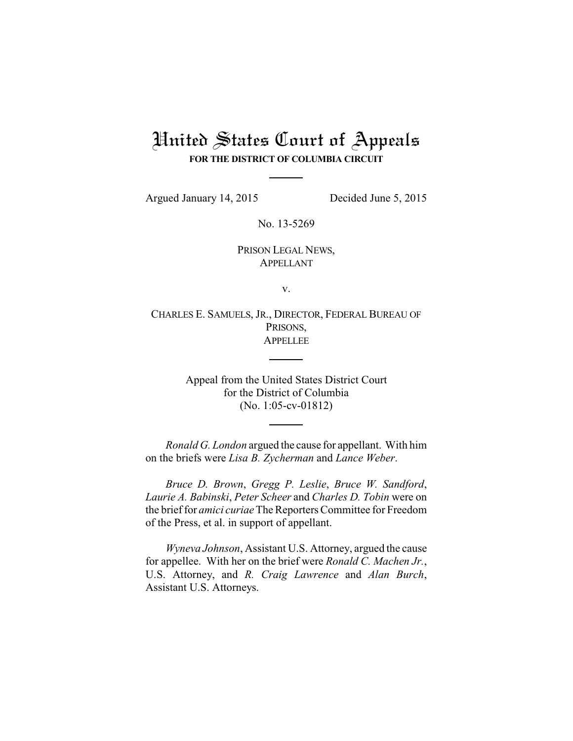## United States Court of Appeals **FOR THE DISTRICT OF COLUMBIA CIRCUIT**

Argued January 14, 2015 Decided June 5, 2015

No. 13-5269

PRISON LEGAL NEWS, APPELLANT

v.

CHARLES E. SAMUELS, JR., DIRECTOR, FEDERAL BUREAU OF PRISONS, APPELLEE

> Appeal from the United States District Court for the District of Columbia (No. 1:05-cv-01812)

*Ronald G. London* argued the cause for appellant. With him on the briefs were *Lisa B. Zycherman* and *Lance Weber*.

*Bruce D. Brown*, *Gregg P. Leslie*, *Bruce W. Sandford*, *Laurie A. Babinski*, *Peter Scheer* and *Charles D. Tobin* were on the brief for *amici curiae*The Reporters Committee for Freedom of the Press, et al. in support of appellant.

*Wyneva Johnson*, Assistant U.S. Attorney, argued the cause for appellee. With her on the brief were *Ronald C. Machen Jr.*, U.S. Attorney, and *R. Craig Lawrence* and *Alan Burch*, Assistant U.S. Attorneys.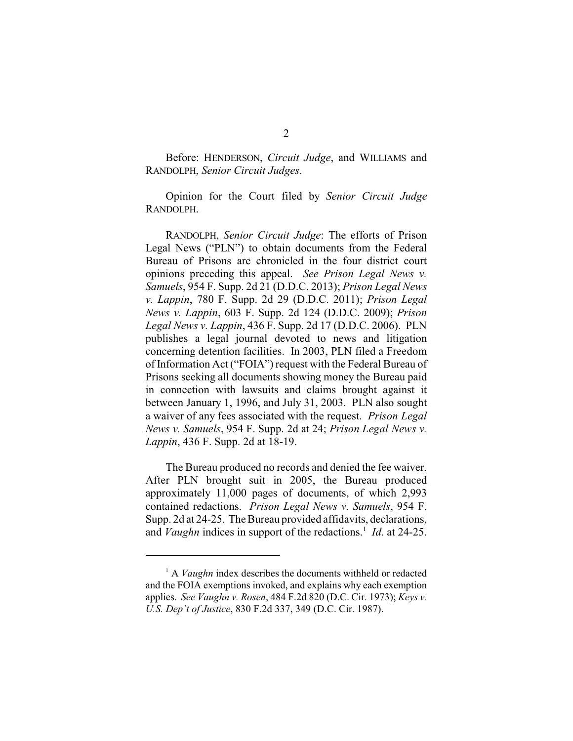Before: HENDERSON, *Circuit Judge*, and WILLIAMS and RANDOLPH, *Senior Circuit Judges*.

Opinion for the Court filed by *Senior Circuit Judge* RANDOLPH.

RANDOLPH, *Senior Circuit Judge*: The efforts of Prison Legal News ("PLN") to obtain documents from the Federal Bureau of Prisons are chronicled in the four district court opinions preceding this appeal. *See Prison Legal News v. Samuels*, 954 F. Supp. 2d 21 (D.D.C. 2013); *Prison Legal News v. Lappin*, 780 F. Supp. 2d 29 (D.D.C. 2011); *Prison Legal News v. Lappin*, 603 F. Supp. 2d 124 (D.D.C. 2009); *Prison Legal News v. Lappin*, 436 F. Supp. 2d 17 (D.D.C. 2006). PLN publishes a legal journal devoted to news and litigation concerning detention facilities. In 2003, PLN filed a Freedom of Information Act ("FOIA") request with the Federal Bureau of Prisons seeking all documents showing money the Bureau paid in connection with lawsuits and claims brought against it between January 1, 1996, and July 31, 2003. PLN also sought a waiver of any fees associated with the request. *Prison Legal News v. Samuels*, 954 F. Supp. 2d at 24; *Prison Legal News v. Lappin*, 436 F. Supp. 2d at 18-19.

The Bureau produced no records and denied the fee waiver. After PLN brought suit in 2005, the Bureau produced approximately 11,000 pages of documents, of which 2,993 contained redactions. *Prison Legal News v. Samuels*, 954 F. Supp. 2d at 24-25. The Bureau provided affidavits, declarations, and *Vaughn* indices in support of the redactions.<sup>1</sup> *Id.* at 24-25.

<sup>&</sup>lt;sup>1</sup> A *Vaughn* index describes the documents withheld or redacted and the FOIA exemptions invoked, and explains why each exemption applies. *See Vaughn v. Rosen*, 484 F.2d 820 (D.C. Cir. 1973); *Keys v. U.S. Dep't of Justice*, 830 F.2d 337, 349 (D.C. Cir. 1987).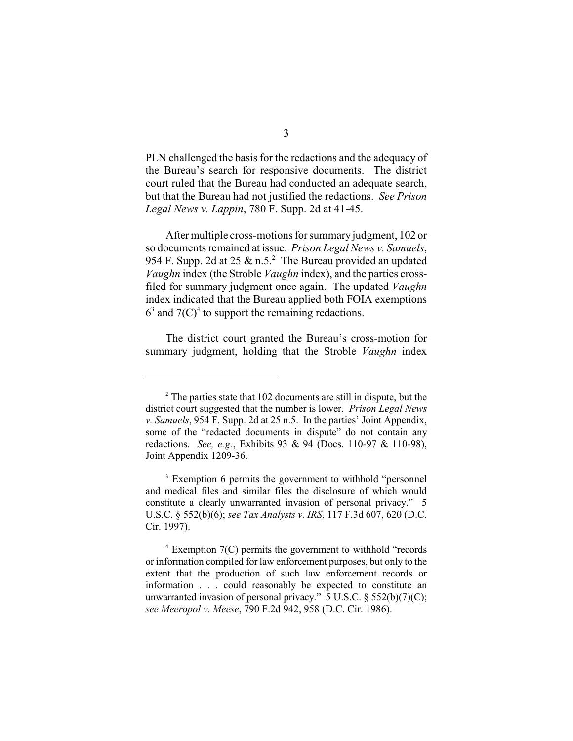PLN challenged the basis for the redactions and the adequacy of the Bureau's search for responsive documents. The district court ruled that the Bureau had conducted an adequate search, but that the Bureau had not justified the redactions. *See Prison Legal News v. Lappin*, 780 F. Supp. 2d at 41-45.

After multiple cross-motions for summary judgment, 102 or so documents remained at issue. *Prison Legal News v. Samuels*, 954 F. Supp. 2d at 25  $\&$  n.5.<sup>2</sup> The Bureau provided an updated *Vaughn* index (the Stroble *Vaughn* index), and the parties crossfiled for summary judgment once again. The updated *Vaughn* index indicated that the Bureau applied both FOIA exemptions  $6<sup>3</sup>$  and  $7(C)<sup>4</sup>$  to support the remaining redactions.

The district court granted the Bureau's cross-motion for summary judgment, holding that the Stroble *Vaughn* index

 $2^{\circ}$  The parties state that 102 documents are still in dispute, but the district court suggested that the number is lower. *Prison Legal News v. Samuels*, 954 F. Supp. 2d at 25 n.5. In the parties' Joint Appendix, some of the "redacted documents in dispute" do not contain any redactions. *See, e.g.*, Exhibits 93 & 94 (Docs. 110-97 & 110-98), Joint Appendix 1209-36.

<sup>&</sup>lt;sup>3</sup> Exemption 6 permits the government to withhold "personnel" and medical files and similar files the disclosure of which would constitute a clearly unwarranted invasion of personal privacy." 5 U.S.C. § 552(b)(6); *see Tax Analysts v. IRS*, 117 F.3d 607, 620 (D.C. Cir. 1997).

 $4$  Exemption 7(C) permits the government to withhold "records" or information compiled for law enforcement purposes, but only to the extent that the production of such law enforcement records or information . . . could reasonably be expected to constitute an unwarranted invasion of personal privacy."  $5 \text{ U.S.C.} \$  $552(b)(7)(C);$ *see Meeropol v. Meese*, 790 F.2d 942, 958 (D.C. Cir. 1986).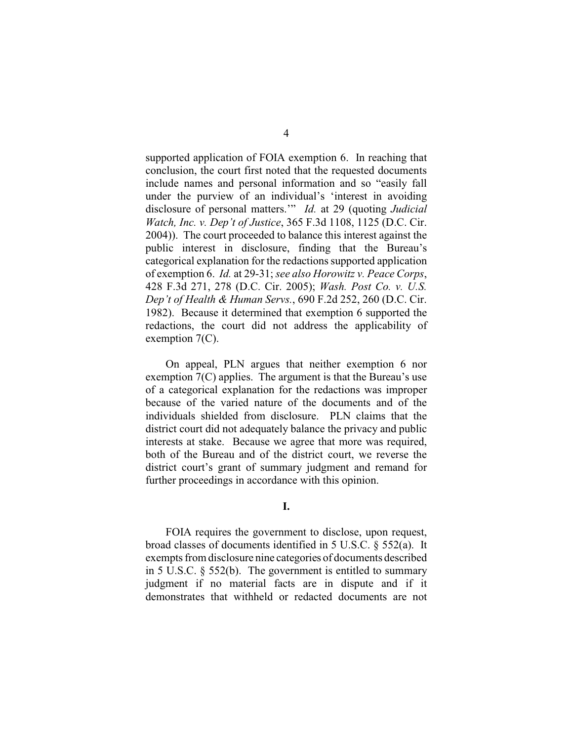supported application of FOIA exemption 6. In reaching that conclusion, the court first noted that the requested documents include names and personal information and so "easily fall under the purview of an individual's 'interest in avoiding disclosure of personal matters.'" *Id.* at 29 (quoting *Judicial Watch, Inc. v. Dep't of Justice*, 365 F.3d 1108, 1125 (D.C. Cir. 2004)). The court proceeded to balance this interest against the public interest in disclosure, finding that the Bureau's categorical explanation for the redactions supported application of exemption 6. *Id.* at 29-31; *see also Horowitz v. Peace Corps*, 428 F.3d 271, 278 (D.C. Cir. 2005); *Wash. Post Co. v. U.S. Dep't of Health & Human Servs.*, 690 F.2d 252, 260 (D.C. Cir. 1982). Because it determined that exemption 6 supported the redactions, the court did not address the applicability of exemption 7(C).

On appeal, PLN argues that neither exemption 6 nor exemption 7(C) applies. The argument is that the Bureau's use of a categorical explanation for the redactions was improper because of the varied nature of the documents and of the individuals shielded from disclosure. PLN claims that the district court did not adequately balance the privacy and public interests at stake. Because we agree that more was required, both of the Bureau and of the district court, we reverse the district court's grant of summary judgment and remand for further proceedings in accordance with this opinion.

FOIA requires the government to disclose, upon request, broad classes of documents identified in 5 U.S.C. § 552(a). It exempts from disclosure nine categories of documents described in 5 U.S.C. § 552(b). The government is entitled to summary judgment if no material facts are in dispute and if it demonstrates that withheld or redacted documents are not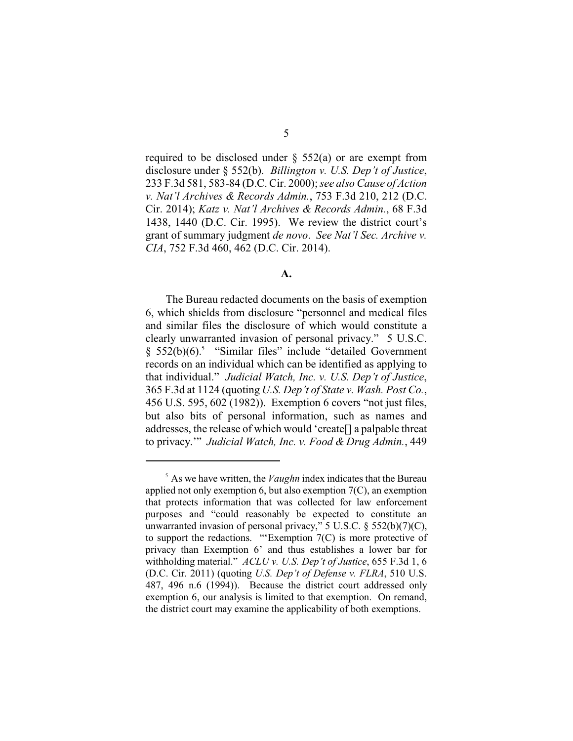required to be disclosed under  $\S$  552(a) or are exempt from disclosure under § 552(b). *Billington v. U.S. Dep't of Justice*, 233 F.3d 581, 583-84 (D.C. Cir. 2000); *see also Cause of Action v. Nat'l Archives & Records Admin.*, 753 F.3d 210, 212 (D.C. Cir. 2014); *Katz v. Nat'l Archives & Records Admin.*, 68 F.3d 1438, 1440 (D.C. Cir. 1995). We review the district court's grant of summary judgment *de novo*. *See Nat'l Sec. Archive v. CIA*, 752 F.3d 460, 462 (D.C. Cir. 2014).

**A.**

The Bureau redacted documents on the basis of exemption 6, which shields from disclosure "personnel and medical files and similar files the disclosure of which would constitute a clearly unwarranted invasion of personal privacy." 5 U.S.C.  $§$  552(b)(6).<sup>5</sup> "Similar files" include "detailed Government records on an individual which can be identified as applying to that individual." *Judicial Watch, Inc. v. U.S. Dep't of Justice*, 365 F.3d at 1124 (quoting *U.S. Dep't of State v. Wash. Post Co.*, 456 U.S. 595, 602 (1982)). Exemption 6 covers "not just files, but also bits of personal information, such as names and addresses, the release of which would 'create[] a palpable threat to privacy.'" *Judicial Watch, Inc. v. Food & Drug Admin.*, 449

 $<sup>5</sup>$  As we have written, the *Vaughn* index indicates that the Bureau</sup> applied not only exemption 6, but also exemption 7(C), an exemption that protects information that was collected for law enforcement purposes and "could reasonably be expected to constitute an unwarranted invasion of personal privacy,"  $5 \text{ U.S.C.}$   $\S$   $552(b)(7)(C)$ , to support the redactions. "'Exemption 7(C) is more protective of privacy than Exemption 6' and thus establishes a lower bar for withholding material." *ACLU v. U.S. Dep't of Justice*, 655 F.3d 1, 6 (D.C. Cir. 2011) (quoting *U.S. Dep't of Defense v. FLRA*, 510 U.S. 487, 496 n.6 (1994)). Because the district court addressed only exemption 6, our analysis is limited to that exemption. On remand, the district court may examine the applicability of both exemptions.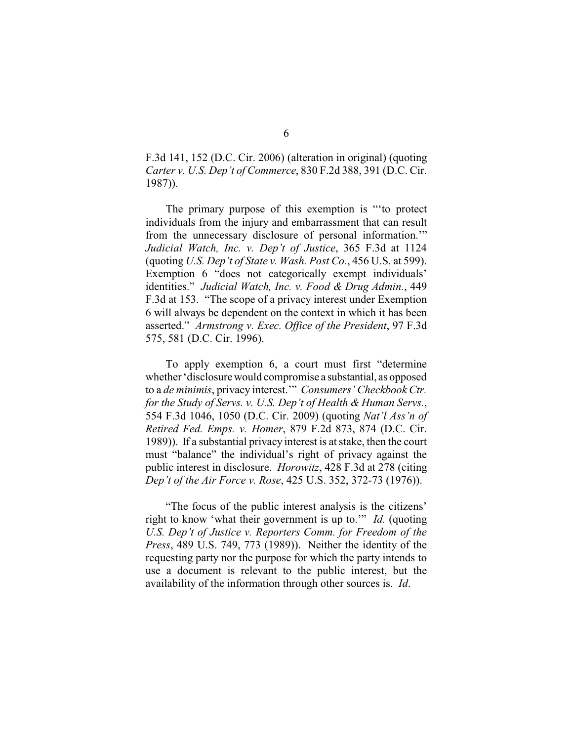F.3d 141, 152 (D.C. Cir. 2006) (alteration in original) (quoting *Carter v. U.S. Dep't of Commerce*, 830 F.2d 388, 391 (D.C. Cir. 1987)).

The primary purpose of this exemption is "'to protect individuals from the injury and embarrassment that can result from the unnecessary disclosure of personal information.'" *Judicial Watch, Inc. v. Dep't of Justice*, 365 F.3d at 1124 (quoting *U.S. Dep't of State v. Wash. Post Co.*, 456 U.S. at 599). Exemption 6 "does not categorically exempt individuals" identities." *Judicial Watch, Inc. v. Food & Drug Admin.*, 449 F.3d at 153. "The scope of a privacy interest under Exemption 6 will always be dependent on the context in which it has been asserted." *Armstrong v. Exec. Office of the President*, 97 F.3d 575, 581 (D.C. Cir. 1996).

To apply exemption 6, a court must first "determine whether'disclosure would compromise a substantial, as opposed to a *de minimis*, privacy interest.'" *Consumers' Checkbook Ctr. for the Study of Servs. v. U.S. Dep't of Health & Human Servs.*, 554 F.3d 1046, 1050 (D.C. Cir. 2009) (quoting *Nat'l Ass'n of Retired Fed. Emps. v. Homer*, 879 F.2d 873, 874 (D.C. Cir. 1989)). If a substantial privacy interest is at stake, then the court must "balance" the individual's right of privacy against the public interest in disclosure. *Horowitz*, 428 F.3d at 278 (citing *Dep't of the Air Force v. Rose*, 425 U.S. 352, 372-73 (1976)).

"The focus of the public interest analysis is the citizens' right to know 'what their government is up to.'" *Id.* (quoting *U.S. Dep't of Justice v. Reporters Comm. for Freedom of the Press*, 489 U.S. 749, 773 (1989)). Neither the identity of the requesting party nor the purpose for which the party intends to use a document is relevant to the public interest, but the availability of the information through other sources is. *Id*.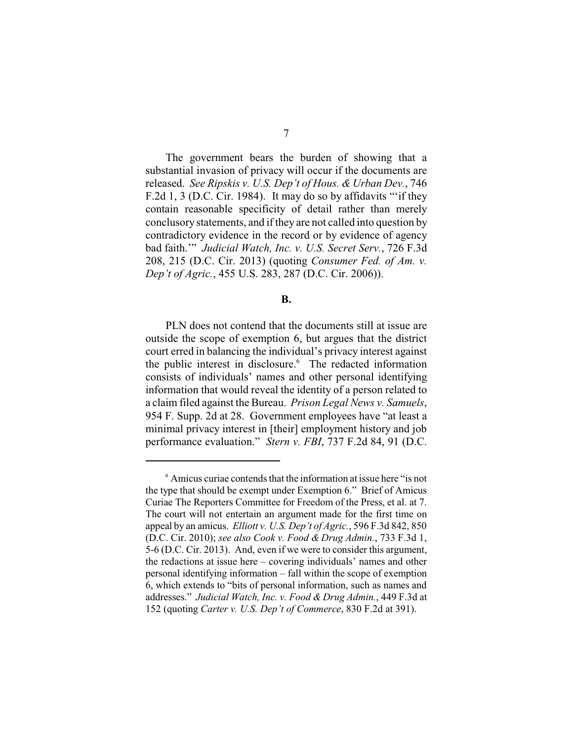The government bears the burden of showing that a substantial invasion of privacy will occur if the documents are released. *See Ripskis v. U.S. Dep't of Hous. & Urban Dev.*, 746 F.2d 1, 3 (D.C. Cir. 1984). It may do so by affidavits "'if they contain reasonable specificity of detail rather than merely conclusory statements, and if they are not called into question by contradictory evidence in the record or by evidence of agency bad faith.'" *Judicial Watch, Inc. v. U.S. Secret Serv.*, 726 F.3d 208, 215 (D.C. Cir. 2013) (quoting *Consumer Fed. of Am. v. Dep't of Agric.*, 455 U.S. 283, 287 (D.C. Cir. 2006)).

## **B.**

PLN does not contend that the documents still at issue are outside the scope of exemption 6, but argues that the district court erred in balancing the individual's privacy interest against the public interest in disclosure.<sup>6</sup> The redacted information consists of individuals' names and other personal identifying information that would reveal the identity of a person related to a claim filed against the Bureau. *Prison Legal News v. Samuels*, 954 F. Supp. 2d at 28. Government employees have "at least a minimal privacy interest in [their] employment history and job performance evaluation." *Stern v. FBI*, 737 F.2d 84, 91 (D.C.

 $<sup>6</sup>$  Amicus curiae contends that the information at issue here "is not</sup> the type that should be exempt under Exemption 6." Brief of Amicus Curiae The Reporters Committee for Freedom of the Press, et al. at 7. The court will not entertain an argument made for the first time on appeal by an amicus. *Elliott v. U.S. Dep't of Agric.*, 596 F.3d 842, 850 (D.C. Cir. 2010); *see also Cook v. Food & Drug Admin.*, 733 F.3d 1, 5-6 (D.C. Cir. 2013). And, even if we were to consider this argument, the redactions at issue here – covering individuals' names and other personal identifying information – fall within the scope of exemption 6, which extends to "bits of personal information, such as names and addresses." *Judicial Watch, Inc. v. Food & Drug Admin.*, 449 F.3d at 152 (quoting *Carter v. U.S. Dep't of Commerce*, 830 F.2d at 391).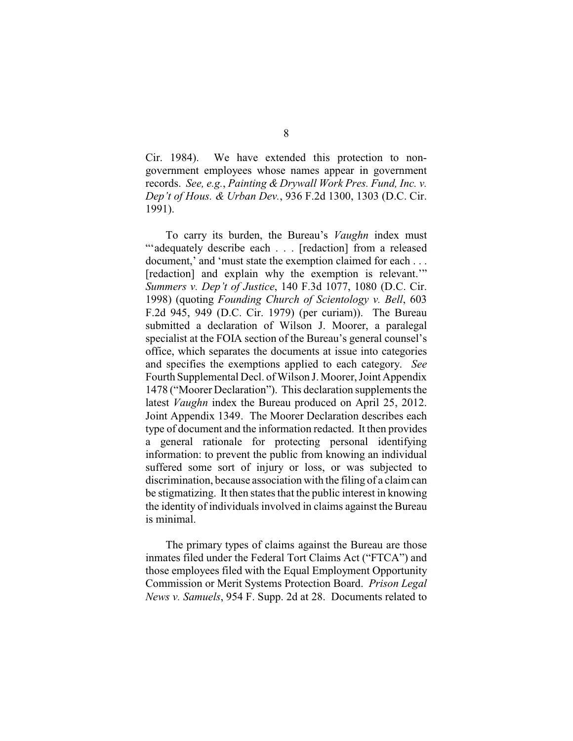Cir. 1984). We have extended this protection to nongovernment employees whose names appear in government records. *See, e.g.*, *Painting & Drywall Work Pres. Fund, Inc. v. Dep't of Hous. & Urban Dev.*, 936 F.2d 1300, 1303 (D.C. Cir. 1991).

To carry its burden, the Bureau's *Vaughn* index must "'adequately describe each . . . [redaction] from a released document,' and 'must state the exemption claimed for each . . . [redaction] and explain why the exemption is relevant." *Summers v. Dep't of Justice*, 140 F.3d 1077, 1080 (D.C. Cir. 1998) (quoting *Founding Church of Scientology v. Bell*, 603 F.2d 945, 949 (D.C. Cir. 1979) (per curiam)). The Bureau submitted a declaration of Wilson J. Moorer, a paralegal specialist at the FOIA section of the Bureau's general counsel's office, which separates the documents at issue into categories and specifies the exemptions applied to each category. *See* Fourth Supplemental Decl. of Wilson J. Moorer, Joint Appendix 1478 ("Moorer Declaration"). This declaration supplements the latest *Vaughn* index the Bureau produced on April 25, 2012. Joint Appendix 1349. The Moorer Declaration describes each type of document and the information redacted. It then provides a general rationale for protecting personal identifying information: to prevent the public from knowing an individual suffered some sort of injury or loss, or was subjected to discrimination, because association with the filing of a claim can be stigmatizing. It then states that the public interest in knowing the identity of individuals involved in claims against the Bureau is minimal.

The primary types of claims against the Bureau are those inmates filed under the Federal Tort Claims Act ("FTCA") and those employees filed with the Equal Employment Opportunity Commission or Merit Systems Protection Board. *Prison Legal News v. Samuels*, 954 F. Supp. 2d at 28. Documents related to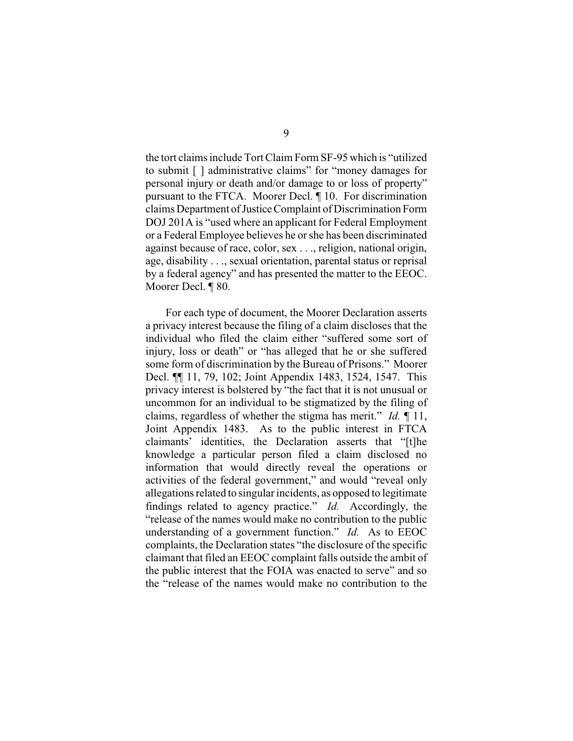the tort claims include Tort Claim Form SF-95 which is "utilized to submit [ ] administrative claims" for "money damages for personal injury or death and/or damage to or loss of property" pursuant to the FTCA. Moorer Decl. ¶ 10. For discrimination claims Department of JusticeComplaint of Discrimination Form DOJ 201A is "used where an applicant for Federal Employment or a Federal Employee believes he or she has been discriminated against because of race, color, sex . . ., religion, national origin, age, disability . . ., sexual orientation, parental status or reprisal by a federal agency" and has presented the matter to the EEOC. Moorer Decl. ¶ 80.

For each type of document, the Moorer Declaration asserts a privacy interest because the filing of a claim discloses that the individual who filed the claim either "suffered some sort of injury, loss or death" or "has alleged that he or she suffered some form of discrimination by the Bureau of Prisons." Moorer Decl. ¶¶ 11, 79, 102; Joint Appendix 1483, 1524, 1547. This privacy interest is bolstered by "the fact that it is not unusual or uncommon for an individual to be stigmatized by the filing of claims, regardless of whether the stigma has merit." *Id.* ¶ 11, Joint Appendix 1483. As to the public interest in FTCA claimants' identities, the Declaration asserts that "[t]he knowledge a particular person filed a claim disclosed no information that would directly reveal the operations or activities of the federal government," and would "reveal only allegations related to singular incidents, as opposed to legitimate findings related to agency practice." *Id.* Accordingly, the "release of the names would make no contribution to the public understanding of a government function." *Id.* As to EEOC complaints, the Declaration states "the disclosure of the specific claimant that filed an EEOC complaint falls outside the ambit of the public interest that the FOIA was enacted to serve" and so the "release of the names would make no contribution to the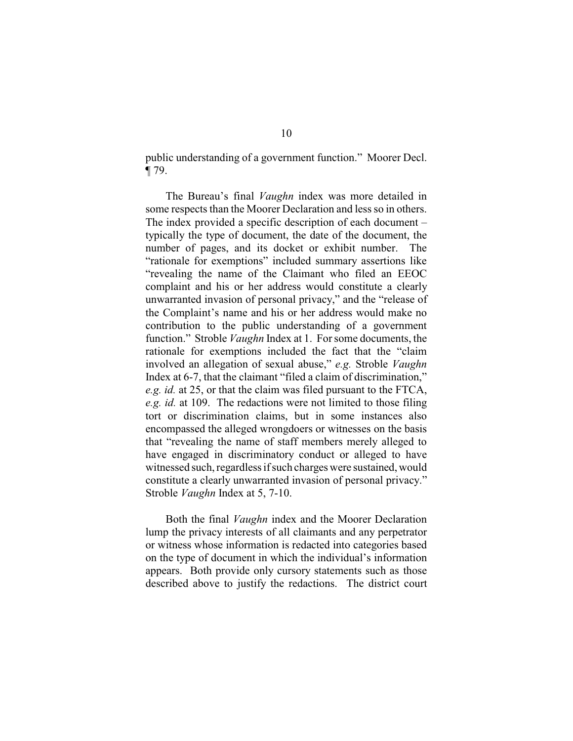public understanding of a government function." Moorer Decl. ¶ 79.

The Bureau's final *Vaughn* index was more detailed in some respects than the Moorer Declaration and less so in others. The index provided a specific description of each document – typically the type of document, the date of the document, the number of pages, and its docket or exhibit number. The "rationale for exemptions" included summary assertions like "revealing the name of the Claimant who filed an EEOC complaint and his or her address would constitute a clearly unwarranted invasion of personal privacy," and the "release of the Complaint's name and his or her address would make no contribution to the public understanding of a government function." Stroble *Vaughn* Index at 1. For some documents, the rationale for exemptions included the fact that the "claim involved an allegation of sexual abuse," *e.g.* Stroble *Vaughn* Index at 6-7, that the claimant "filed a claim of discrimination," *e.g. id.* at 25, or that the claim was filed pursuant to the FTCA, *e.g. id.* at 109. The redactions were not limited to those filing tort or discrimination claims, but in some instances also encompassed the alleged wrongdoers or witnesses on the basis that "revealing the name of staff members merely alleged to have engaged in discriminatory conduct or alleged to have witnessed such, regardless if such charges were sustained, would constitute a clearly unwarranted invasion of personal privacy." Stroble *Vaughn* Index at 5, 7-10.

Both the final *Vaughn* index and the Moorer Declaration lump the privacy interests of all claimants and any perpetrator or witness whose information is redacted into categories based on the type of document in which the individual's information appears. Both provide only cursory statements such as those described above to justify the redactions. The district court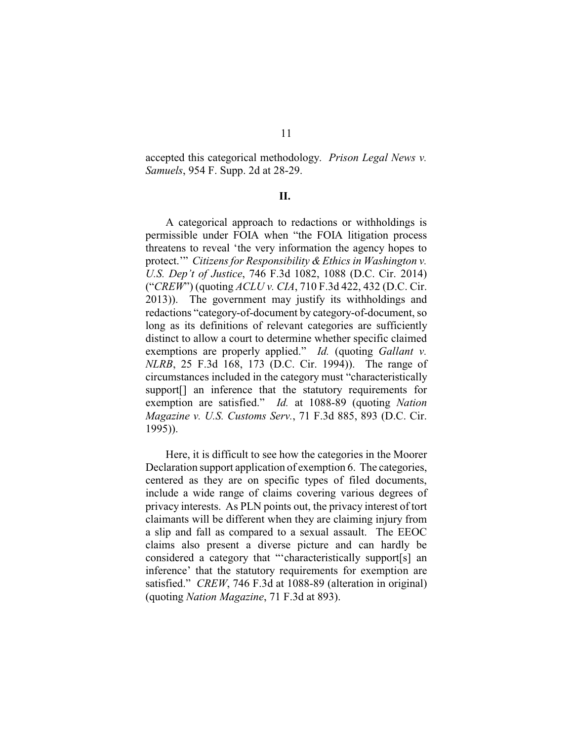accepted this categorical methodology. *Prison Legal News v. Samuels*, 954 F. Supp. 2d at 28-29.

## **II.**

A categorical approach to redactions or withholdings is permissible under FOIA when "the FOIA litigation process threatens to reveal 'the very information the agency hopes to protect.'" *Citizens for Responsibility & Ethics in Washington v. U.S. Dep't of Justice*, 746 F.3d 1082, 1088 (D.C. Cir. 2014) ("*CREW*") (quoting *ACLU v. CIA*, 710 F.3d 422, 432 (D.C. Cir. 2013)). The government may justify its withholdings and redactions "category-of-document by category-of-document, so long as its definitions of relevant categories are sufficiently distinct to allow a court to determine whether specific claimed exemptions are properly applied." *Id.* (quoting *Gallant v. NLRB*, 25 F.3d 168, 173 (D.C. Cir. 1994)). The range of circumstances included in the category must "characteristically support<sup>[]</sup> an inference that the statutory requirements for exemption are satisfied." *Id.* at 1088-89 (quoting *Nation Magazine v. U.S. Customs Serv.*, 71 F.3d 885, 893 (D.C. Cir. 1995)).

Here, it is difficult to see how the categories in the Moorer Declaration support application of exemption 6. The categories, centered as they are on specific types of filed documents, include a wide range of claims covering various degrees of privacy interests. As PLN points out, the privacy interest of tort claimants will be different when they are claiming injury from a slip and fall as compared to a sexual assault. The EEOC claims also present a diverse picture and can hardly be considered a category that "'characteristically support[s] an inference' that the statutory requirements for exemption are satisfied." *CREW*, 746 F.3d at 1088-89 (alteration in original) (quoting *Nation Magazine*, 71 F.3d at 893).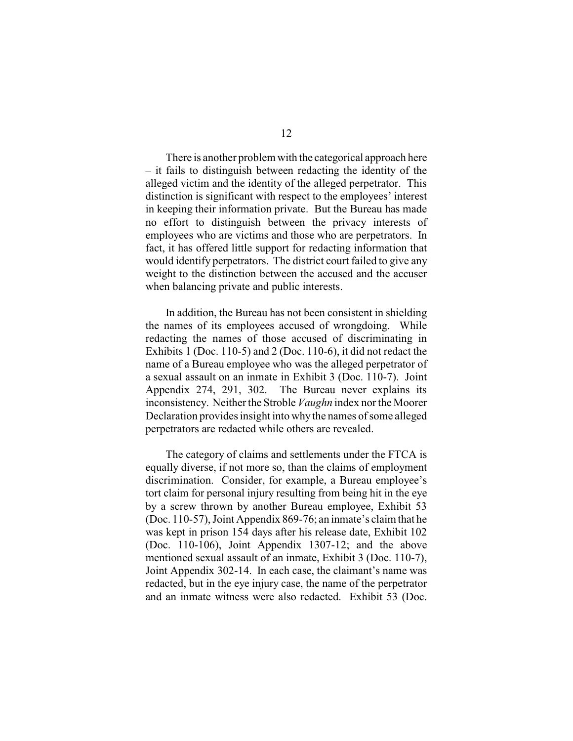There is another problem with the categorical approach here – it fails to distinguish between redacting the identity of the alleged victim and the identity of the alleged perpetrator. This distinction is significant with respect to the employees' interest in keeping their information private. But the Bureau has made no effort to distinguish between the privacy interests of employees who are victims and those who are perpetrators. In fact, it has offered little support for redacting information that would identify perpetrators. The district court failed to give any weight to the distinction between the accused and the accuser when balancing private and public interests.

In addition, the Bureau has not been consistent in shielding the names of its employees accused of wrongdoing. While redacting the names of those accused of discriminating in Exhibits 1 (Doc. 110-5) and 2 (Doc. 110-6), it did not redact the name of a Bureau employee who was the alleged perpetrator of a sexual assault on an inmate in Exhibit 3 (Doc. 110-7). Joint Appendix 274, 291, 302. The Bureau never explains its inconsistency. Neither the Stroble *Vaughn* index nor the Moorer Declaration provides insight into why the names of some alleged perpetrators are redacted while others are revealed.

The category of claims and settlements under the FTCA is equally diverse, if not more so, than the claims of employment discrimination. Consider, for example, a Bureau employee's tort claim for personal injury resulting from being hit in the eye by a screw thrown by another Bureau employee, Exhibit 53 (Doc. 110-57), Joint Appendix 869-76; an inmate's claim that he was kept in prison 154 days after his release date, Exhibit 102 (Doc. 110-106), Joint Appendix 1307-12; and the above mentioned sexual assault of an inmate, Exhibit 3 (Doc. 110-7), Joint Appendix 302-14. In each case, the claimant's name was redacted, but in the eye injury case, the name of the perpetrator and an inmate witness were also redacted. Exhibit 53 (Doc.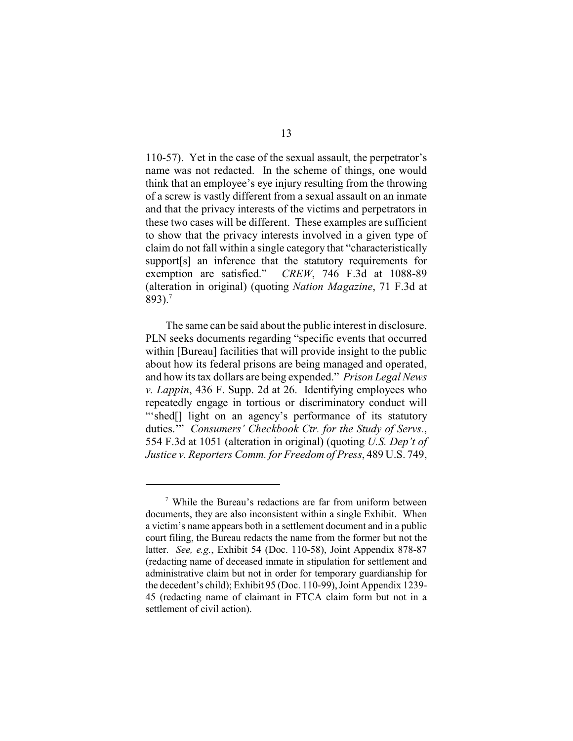110-57). Yet in the case of the sexual assault, the perpetrator's name was not redacted. In the scheme of things, one would think that an employee's eye injury resulting from the throwing of a screw is vastly different from a sexual assault on an inmate and that the privacy interests of the victims and perpetrators in these two cases will be different. These examples are sufficient to show that the privacy interests involved in a given type of claim do not fall within a single category that "characteristically support[s] an inference that the statutory requirements for exemption are satisfied." *CREW*, 746 F.3d at 1088-89 (alteration in original) (quoting *Nation Magazine*, 71 F.3d at 893).<sup>7</sup>

The same can be said about the public interest in disclosure. PLN seeks documents regarding "specific events that occurred within [Bureau] facilities that will provide insight to the public about how its federal prisons are being managed and operated, and how its tax dollars are being expended." *Prison Legal News v. Lappin*, 436 F. Supp. 2d at 26. Identifying employees who repeatedly engage in tortious or discriminatory conduct will "'shed[] light on an agency's performance of its statutory duties.'" *Consumers' Checkbook Ctr. for the Study of Servs.*, 554 F.3d at 1051 (alteration in original) (quoting *U.S. Dep't of Justice v. Reporters Comm. for Freedom of Press*, 489 U.S. 749,

<sup>&</sup>lt;sup>7</sup> While the Bureau's redactions are far from uniform between documents, they are also inconsistent within a single Exhibit. When a victim's name appears both in a settlement document and in a public court filing, the Bureau redacts the name from the former but not the latter. *See, e.g.*, Exhibit 54 (Doc. 110-58), Joint Appendix 878-87 (redacting name of deceased inmate in stipulation for settlement and administrative claim but not in order for temporary guardianship for the decedent's child); Exhibit 95 (Doc. 110-99), Joint Appendix 1239- 45 (redacting name of claimant in FTCA claim form but not in a settlement of civil action).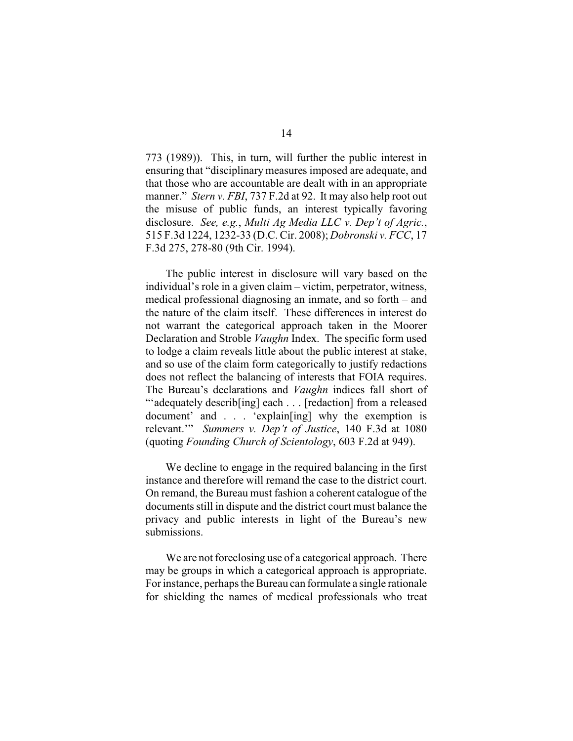773 (1989)). This, in turn, will further the public interest in ensuring that "disciplinary measures imposed are adequate, and that those who are accountable are dealt with in an appropriate manner." *Stern v. FBI*, 737 F.2d at 92. It may also help root out the misuse of public funds, an interest typically favoring disclosure. *See, e.g.*, *Multi Ag Media LLC v. Dep't of Agric.*, 515 F.3d 1224, 1232-33 (D.C. Cir. 2008); *Dobronski v. FCC*, 17 F.3d 275, 278-80 (9th Cir. 1994).

The public interest in disclosure will vary based on the individual's role in a given claim – victim, perpetrator, witness, medical professional diagnosing an inmate, and so forth – and the nature of the claim itself. These differences in interest do not warrant the categorical approach taken in the Moorer Declaration and Stroble *Vaughn* Index. The specific form used to lodge a claim reveals little about the public interest at stake, and so use of the claim form categorically to justify redactions does not reflect the balancing of interests that FOIA requires. The Bureau's declarations and *Vaughn* indices fall short of "'adequately describ[ing] each . . . [redaction] from a released document' and . . . 'explain[ing] why the exemption is relevant.'" *Summers v. Dep't of Justice*, 140 F.3d at 1080 (quoting *Founding Church of Scientology*, 603 F.2d at 949).

We decline to engage in the required balancing in the first instance and therefore will remand the case to the district court. On remand, the Bureau must fashion a coherent catalogue of the documents still in dispute and the district court must balance the privacy and public interests in light of the Bureau's new submissions.

We are not foreclosing use of a categorical approach. There may be groups in which a categorical approach is appropriate. For instance, perhaps the Bureau can formulate a single rationale for shielding the names of medical professionals who treat